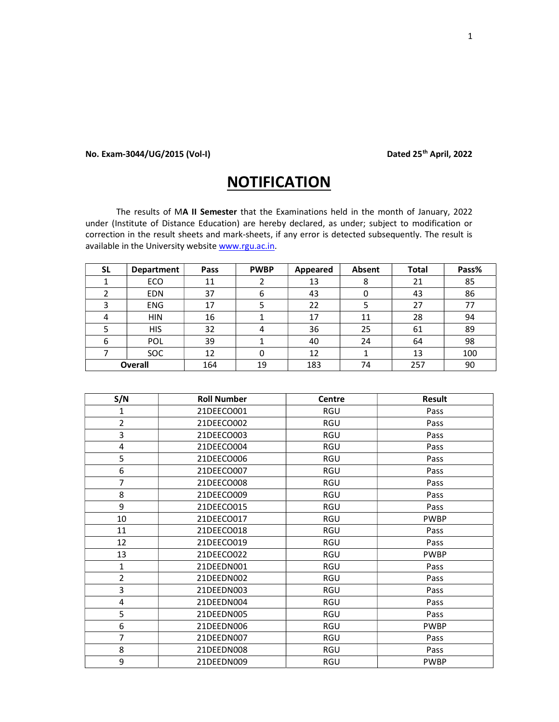## No. Exam-3044/UG/2015 (Vol-I) Dated 25<sup>th</sup> April, 2022

## **NOTIFICATION**

The results of MA II Semester that the Examinations held in the month of January, 2022 under (Institute of Distance Education) are hereby declared, as under; subject to modification or correction in the result sheets and mark-sheets, if any error is detected subsequently. The result is available in the University website www.rgu.ac.in.

| SL | Department     | Pass | <b>PWBP</b> | Appeared | Absent | <b>Total</b> | Pass% |
|----|----------------|------|-------------|----------|--------|--------------|-------|
|    | ECO            | 11   |             | 13       | 8      | 21           | 85    |
|    | <b>EDN</b>     | 37   | ь           | 43       |        | 43           | 86    |
| っ  | <b>ENG</b>     | 17   |             | 22       |        | 27           | 77    |
| 4  | <b>HIN</b>     | 16   |             | 17       | 11     | 28           | 94    |
|    | <b>HIS</b>     | 32   | 4           | 36       | 25     | 61           | 89    |
| 6  | POL            | 39   |             | 40       | 24     | 64           | 98    |
|    | <b>SOC</b>     | 12   | 0           | 12       |        | 13           | 100   |
|    | <b>Overall</b> | 164  | 19          | 183      | 74     | 257          | 90    |

| S/N            | <b>Roll Number</b> | Centre | <b>Result</b> |
|----------------|--------------------|--------|---------------|
| 1              | 21DEECO001         | RGU    | Pass          |
| $\overline{2}$ | 21DEECO002         | RGU    | Pass          |
| 3              | 21DEECO003         | RGU    | Pass          |
| 4              | 21DEECO004         | RGU    | Pass          |
| 5              | 21DEECO006         | RGU    | Pass          |
| 6              | 21DEECO007         | RGU    | Pass          |
| $\overline{7}$ | 21DEECO008         | RGU    | Pass          |
| 8              | 21DEECO009         | RGU    | Pass          |
| 9              | 21DEECO015         | RGU    | Pass          |
| 10             | 21DEECO017         | RGU    | <b>PWBP</b>   |
| 11             | 21DEECO018         | RGU    | Pass          |
| 12             | 21DEECO019         | RGU    | Pass          |
| 13             | 21DEECO022         | RGU    | <b>PWBP</b>   |
| $\mathbf{1}$   | 21DEEDN001         | RGU    | Pass          |
| $\overline{2}$ | 21DEEDN002         | RGU    | Pass          |
| 3              | 21DEEDN003         | RGU    | Pass          |
| 4              | 21DEEDN004         | RGU    | Pass          |
| 5              | 21DEEDN005         | RGU    | Pass          |
| 6              | 21DEEDN006         | RGU    | <b>PWBP</b>   |
| $\overline{7}$ | 21DEEDN007         | RGU    | Pass          |
| 8              | 21DEEDN008         | RGU    | Pass          |
| 9              | 21DEEDN009         | RGU    | <b>PWBP</b>   |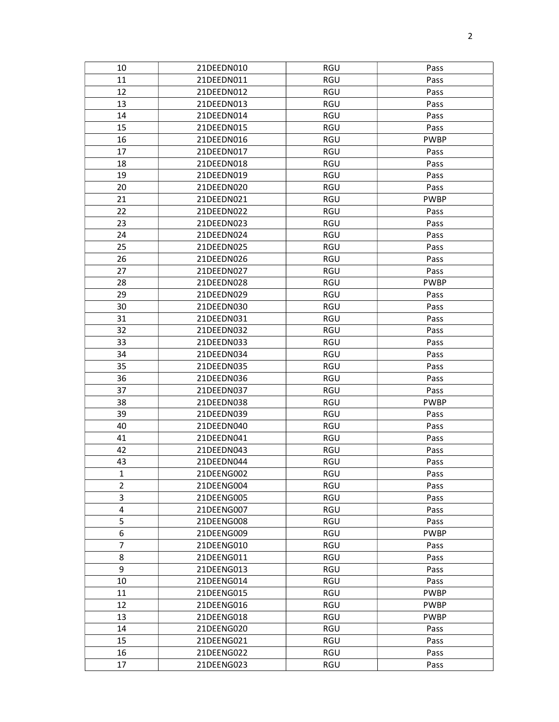| 10             | 21DEEDN010 | RGU        | Pass        |
|----------------|------------|------------|-------------|
| 11             | 21DEEDN011 | <b>RGU</b> | Pass        |
| 12             | 21DEEDN012 | <b>RGU</b> | Pass        |
| 13             | 21DEEDN013 | RGU        | Pass        |
| 14             | 21DEEDN014 | RGU        | Pass        |
| 15             | 21DEEDN015 | <b>RGU</b> | Pass        |
| 16             | 21DEEDN016 | <b>RGU</b> | <b>PWBP</b> |
| 17             | 21DEEDN017 | RGU        | Pass        |
| 18             | 21DEEDN018 | <b>RGU</b> | Pass        |
| 19             | 21DEEDN019 | RGU        | Pass        |
| 20             | 21DEEDN020 | RGU        | Pass        |
| 21             | 21DEEDN021 | RGU        | <b>PWBP</b> |
| 22             | 21DEEDN022 | <b>RGU</b> | Pass        |
| 23             | 21DEEDN023 | RGU        | Pass        |
| 24             | 21DEEDN024 | RGU        | Pass        |
| 25             | 21DEEDN025 | <b>RGU</b> | Pass        |
| 26             | 21DEEDN026 | RGU        | Pass        |
| 27             | 21DEEDN027 | RGU        | Pass        |
| 28             | 21DEEDN028 | RGU        | <b>PWBP</b> |
| 29             | 21DEEDN029 | <b>RGU</b> | Pass        |
| 30             | 21DEEDN030 | <b>RGU</b> | Pass        |
| 31             | 21DEEDN031 | RGU        | Pass        |
| 32             | 21DEEDN032 | <b>RGU</b> | Pass        |
| 33             | 21DEEDN033 | <b>RGU</b> | Pass        |
| 34             | 21DEEDN034 | <b>RGU</b> | Pass        |
| 35             | 21DEEDN035 | <b>RGU</b> | Pass        |
| 36             | 21DEEDN036 | <b>RGU</b> | Pass        |
| 37             | 21DEEDN037 | RGU        | Pass        |
| 38             | 21DEEDN038 | RGU        | <b>PWBP</b> |
| 39             | 21DEEDN039 | RGU        | Pass        |
| 40             | 21DEEDN040 | <b>RGU</b> | Pass        |
| 41             | 21DEEDN041 | RGU        | Pass        |
| 42             | 21DEEDN043 | RGU        | Pass        |
| 43             | 21DEEDN044 | RGU        | Pass        |
| $\mathbf{1}$   | 21DEENG002 | RGU        | Pass        |
| $\overline{2}$ | 21DEENG004 | RGU        | Pass        |
| 3              | 21DEENG005 | RGU        | Pass        |
| $\overline{4}$ | 21DEENG007 | <b>RGU</b> | Pass        |
| 5              | 21DEENG008 | RGU        | Pass        |
| 6              | 21DEENG009 | RGU        | <b>PWBP</b> |
| $\overline{7}$ | 21DEENG010 | RGU        | Pass        |
| 8              | 21DEENG011 | RGU        | Pass        |
| 9              | 21DEENG013 | RGU        | Pass        |
| 10             | 21DEENG014 | RGU        | Pass        |
| 11             | 21DEENG015 | RGU        | <b>PWBP</b> |
| 12             | 21DEENG016 | <b>RGU</b> | <b>PWBP</b> |
| 13             | 21DEENG018 | RGU        | <b>PWBP</b> |
| 14             | 21DEENG020 | RGU        | Pass        |
| 15             | 21DEENG021 | RGU        | Pass        |
| 16             | 21DEENG022 | RGU        | Pass        |
| 17             | 21DEENG023 | RGU        | Pass        |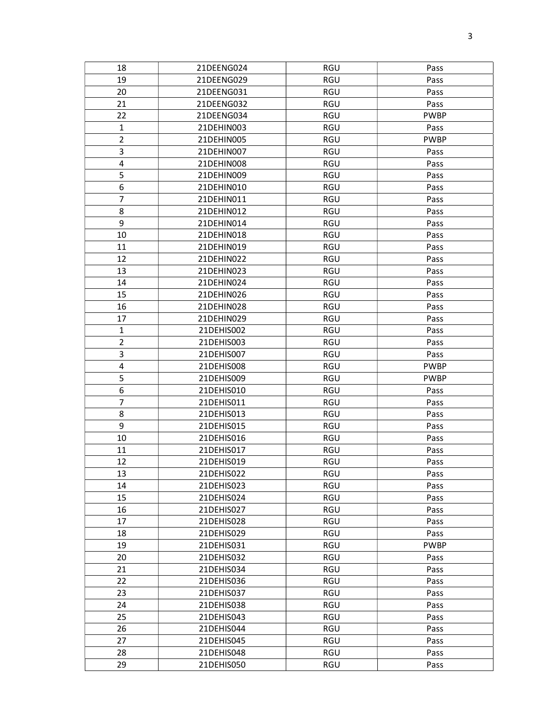| 18             | 21DEENG024 | RGU        | Pass        |
|----------------|------------|------------|-------------|
| 19             | 21DEENG029 | RGU        | Pass        |
| 20             | 21DEENG031 | RGU        | Pass        |
| 21             | 21DEENG032 | RGU        | Pass        |
| 22             | 21DEENG034 | <b>RGU</b> | <b>PWBP</b> |
| 1              | 21DEHIN003 | RGU        | Pass        |
| $\mathbf 2$    | 21DEHIN005 | <b>RGU</b> | <b>PWBP</b> |
| 3              | 21DEHIN007 | RGU        | Pass        |
| 4              | 21DEHIN008 | RGU        | Pass        |
| 5              | 21DEHIN009 | RGU        | Pass        |
| 6              | 21DEHIN010 | RGU        | Pass        |
| $\overline{7}$ | 21DEHIN011 | RGU        | Pass        |
| 8              | 21DEHIN012 | RGU        | Pass        |
| 9              | 21DEHIN014 | RGU        | Pass        |
| 10             | 21DEHIN018 | RGU        | Pass        |
| 11             | 21DEHIN019 | RGU        | Pass        |
| 12             | 21DEHIN022 | RGU        | Pass        |
| 13             | 21DEHIN023 | RGU        | Pass        |
| 14             | 21DEHIN024 | <b>RGU</b> | Pass        |
| 15             | 21DEHIN026 | RGU        | Pass        |
| 16             | 21DEHIN028 | RGU        | Pass        |
| 17             | 21DEHIN029 | <b>RGU</b> | Pass        |
| $\mathbf{1}$   | 21DEHIS002 | RGU        | Pass        |
| $\overline{2}$ | 21DEHIS003 | RGU        | Pass        |
| 3              | 21DEHIS007 | <b>RGU</b> | Pass        |
| 4              | 21DEHIS008 | RGU        | <b>PWBP</b> |
| 5              | 21DEHIS009 | RGU        | <b>PWBP</b> |
| 6              | 21DEHIS010 | RGU        | Pass        |
| $\overline{7}$ | 21DEHIS011 | RGU        | Pass        |
| 8              | 21DEHIS013 | <b>RGU</b> | Pass        |
| 9              | 21DEHIS015 | RGU        | Pass        |
| 10             | 21DEHIS016 | RGU        | Pass        |
| 11             | 21DEHIS017 | <b>RGU</b> | Pass        |
| 12             | 21DEHIS019 | RGU        | Pass        |
| 13             | 21DEHIS022 | <b>RGU</b> | Pass        |
| 14             | 21DEHIS023 | RGU        | Pass        |
| 15             | 21DEHIS024 | RGU        | Pass        |
| 16             | 21DEHIS027 | RGU        | Pass        |
| 17             | 21DEHIS028 | RGU        | Pass        |
| 18             | 21DEHIS029 | RGU        | Pass        |
| 19             | 21DEHIS031 | RGU        | <b>PWBP</b> |
| 20             | 21DEHIS032 | RGU        | Pass        |
| 21             | 21DEHIS034 | RGU        | Pass        |
| 22             | 21DEHIS036 | RGU        | Pass        |
| 23             | 21DEHIS037 | RGU        | Pass        |
| 24             | 21DEHIS038 | RGU        | Pass        |
| 25             | 21DEHIS043 | RGU        | Pass        |
| 26             | 21DEHIS044 | RGU        | Pass        |
| 27             | 21DEHIS045 | RGU        | Pass        |
| 28             | 21DEHIS048 | RGU        | Pass        |
| 29             | 21DEHIS050 | RGU        | Pass        |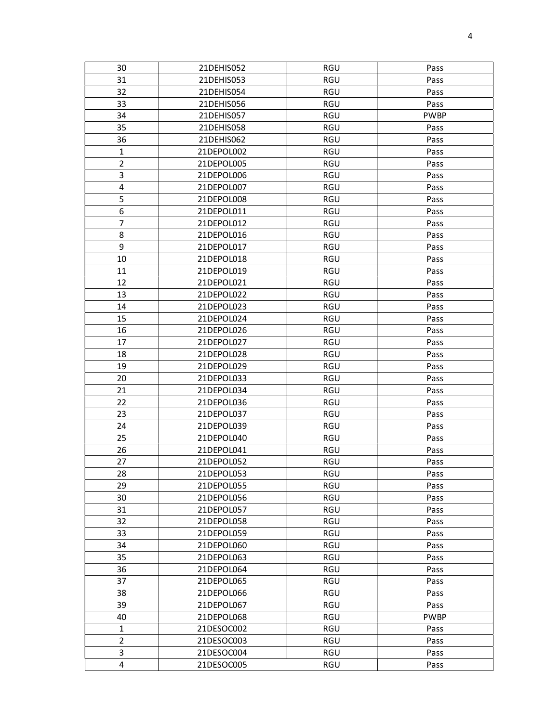| 30                      | 21DEHIS052 | RGU        | Pass        |  |
|-------------------------|------------|------------|-------------|--|
| 31                      | 21DEHIS053 | <b>RGU</b> | Pass        |  |
| 32                      | 21DEHIS054 | RGU        | Pass        |  |
| 33                      | 21DEHIS056 | RGU        | Pass        |  |
| 34                      | 21DEHIS057 | RGU        | <b>PWBP</b> |  |
| 35                      | 21DEHIS058 | RGU        | Pass        |  |
| 36                      | 21DEHIS062 | RGU        | Pass        |  |
| $\mathbf 1$             | 21DEPOL002 | RGU        | Pass        |  |
| $\overline{2}$          | 21DEPOL005 | RGU        | Pass        |  |
| 3                       | 21DEPOL006 | RGU        | Pass        |  |
| 4                       | 21DEPOL007 | RGU        | Pass        |  |
| 5                       | 21DEPOL008 | RGU        | Pass        |  |
| 6                       | 21DEPOL011 | <b>RGU</b> | Pass        |  |
| $\overline{7}$          | 21DEPOL012 | RGU        | Pass        |  |
| 8                       | 21DEPOL016 | RGU        | Pass        |  |
| 9                       | 21DEPOL017 | <b>RGU</b> | Pass        |  |
| 10                      | 21DEPOL018 | RGU        | Pass        |  |
| 11                      | 21DEPOL019 | RGU        | Pass        |  |
| 12                      | 21DEPOL021 | RGU        | Pass        |  |
| 13                      | 21DEPOL022 | RGU        | Pass        |  |
| 14                      | 21DEPOL023 | RGU        | Pass        |  |
| 15                      | 21DEPOL024 | RGU        | Pass        |  |
| 16                      | 21DEPOL026 | <b>RGU</b> | Pass        |  |
| 17                      | 21DEPOL027 | <b>RGU</b> | Pass        |  |
| 18                      | 21DEPOL028 | <b>RGU</b> | Pass        |  |
| 19                      | 21DEPOL029 | RGU        | Pass        |  |
| 20                      | 21DEPOL033 | <b>RGU</b> | Pass        |  |
| 21                      | 21DEPOL034 | RGU        | Pass        |  |
| 22                      | 21DEPOL036 | RGU        | Pass        |  |
| 23                      | 21DEPOL037 | RGU        | Pass        |  |
| 24                      | 21DEPOL039 | RGU        | Pass        |  |
| 25                      | 21DEPOL040 | RGU        | Pass        |  |
| 26                      | 21DEPOL041 | RGU        | Pass        |  |
| 27                      | 21DEPOL052 | RGU        | Pass        |  |
| 28                      | 21DEPOL053 | RGU        | Pass        |  |
| 29                      | 21DEPOL055 | RGU        | Pass        |  |
| 30                      | 21DEPOL056 | RGU        | Pass        |  |
| 31                      | 21DEPOL057 | <b>RGU</b> | Pass        |  |
| 32                      | 21DEPOL058 | RGU        | Pass        |  |
| 33                      | 21DEPOL059 | RGU        | Pass        |  |
| 34                      | 21DEPOL060 | <b>RGU</b> | Pass        |  |
| 35                      | 21DEPOL063 | RGU        | Pass        |  |
| 36                      | 21DEPOL064 | RGU        | Pass        |  |
| 37                      | 21DEPOL065 | RGU        | Pass        |  |
| 38                      | 21DEPOL066 | RGU        | Pass        |  |
| 39                      | 21DEPOL067 | <b>RGU</b> | Pass        |  |
| 40                      | 21DEPOL068 | RGU        | <b>PWBP</b> |  |
| $\mathbf{1}$            | 21DESOC002 | <b>RGU</b> | Pass        |  |
| $\overline{2}$          | 21DESOC003 | <b>RGU</b> | Pass        |  |
| 3                       | 21DESOC004 | RGU        | Pass        |  |
| $\overline{\mathbf{4}}$ | 21DESOC005 | RGU        | Pass        |  |